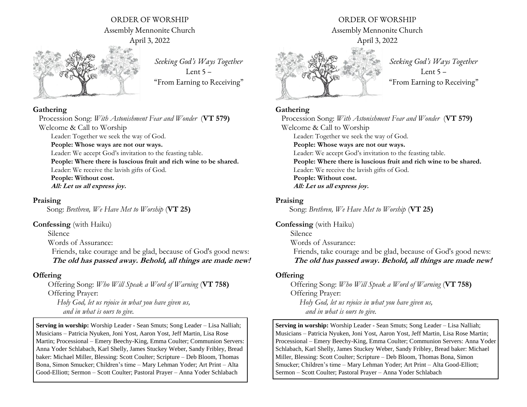# ORDER OF WORSHIP Assembly Mennonite Church April 3, 2022



*Seeking God's Ways Together* Lent  $5 -$ "From Earning to Receiving"

#### **Gathering**

Procession Song: *With Astonishment Fear and Wonder* (**VT 579)** Welcome & Call to Worship Leader: Together we seek the way of God.

**People: Whose ways are not our ways.**

Leader: We accept God's invitation to the feasting table.

**People: Where there is luscious fruit and rich wine to be shared.**

Leader: We receive the lavish gifts of God.

**People: Without cost.**

**All: Let us all express joy.** 

#### **Praising**

Song: *Brethren, We Have Met to Worship* (**VT 25)**

## **Confessing** (with Haiku)

Silence

Words of Assurance:

 Friends, take courage and be glad, because of God's good news: **The old has passed away. Behold, all things are made new!**

# **Offering**

Offering Song: *Who Will Speak a Word of Warning* (**VT 758)** Offering Prayer: *Holy God, let us rejoice in what you have given us, and in what is ours to give.*

**Serving in worship:** Worship Leader - Sean Smuts; Song Leader – Lisa Nalliah; Musicians – Patricia Nyuken, Joni Yost, Aaron Yost, Jeff Martin, Lisa Rose Martin; Processional – Emery Beechy-King, Emma Coulter; Communion Servers: Anna Yoder Schlabach, Karl Shelly, James Stuckey Weber, Sandy Fribley, Bread baker: Michael Miller, Blessing: Scott Coulter; Scripture – Deb Bloom, Thomas Bona, Simon Smucker; Children's time – Mary Lehman Yoder; Art Print – Alta Good-Elliott; Sermon – Scott Coulter; Pastoral Prayer – Anna Yoder Schlabach

ORDER OF WORSHIP Assembly Mennonite Church April 3, 2022



*Seeking God's Ways Together* Lent  $5 -$ "From Earning to Receiving"

# **Gathering**

Procession Song: *With Astonishment Fear and Wonder* (**VT 579)** Welcome & Call to Worship Leader: Together we seek the way of God. **People: Whose ways are not our ways.** Leader: We accept God's invitation to the feasting table. **People: Where there is luscious fruit and rich wine to be shared.** Leader: We receive the lavish gifts of God. **People: Without cost. All: Let us all express joy.** 

**Praising**

Song: *Brethren, We Have Met to Worship* (**VT 25)**

**Confessing** (with Haiku) Silence Words of Assurance: Friends, take courage and be glad, because of God's good news: **The old has passed away. Behold, all things are made new!**

# **Offering**

Offering Song: *Who Will Speak a Word of Warning* (**VT 758)** Offering Prayer: *Holy God, let us rejoice in what you have given us, and in what is ours to give.*

**Serving in worship:** Worship Leader - Sean Smuts; Song Leader – Lisa Nalliah; Musicians – Patricia Nyuken, Joni Yost, Aaron Yost, Jeff Martin, Lisa Rose Martin; Processional – Emery Beechy-King, Emma Coulter; Communion Servers: Anna Yoder Schlabach, Karl Shelly, James Stuckey Weber, Sandy Fribley, Bread baker: Michael Miller, Blessing: Scott Coulter; Scripture – Deb Bloom, Thomas Bona, Simon Smucker; Children's time – Mary Lehman Yoder; Art Print – Alta Good-Elliott; Sermon – Scott Coulter; Pastoral Prayer – Anna Yoder Schlabach